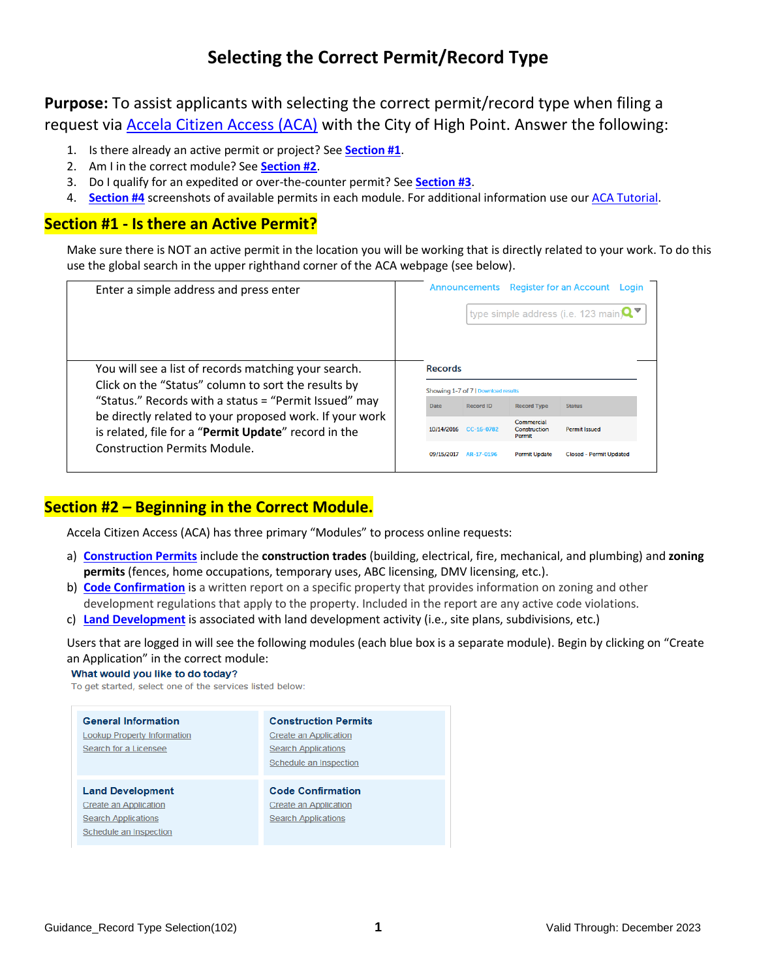# **Selecting the Correct Permit/Record Type**

<span id="page-0-2"></span>**Purpose:** To assist applicants with selecting the correct permit/record type when filing a request via [Accela Citizen Access \(ACA\)](http://www.buildhighpoint.com/online) with the City of High Point. Answer the following:

- 1. Is there already an active permit or project? See **[Section #1](#page-0-0)**.
- 2. Am I in the correct module? See **[Section #2](#page-0-1)**.
- 3. Do I qualify for an expedited or over-the-counter permit? See **[Section #3](#page-1-0)**.
- 4. **[Section #4](#page-2-0)** screenshots of available permits in each module. For additional information use our [ACA Tutorial.](http://www.buildhighpoint.com/DocumentCenter/View/101)

## <span id="page-0-0"></span>**Section #1 - Is there an Active Permit?**

Make sure there is NOT an active permit in the location you will be working that is directly related to your work. To do this use the global search in the upper righthand corner of the ACA webpage (see below).

| Enter a simple address and press enter                                                                                                                                                                                                                                                                                         | <b>Register for an Account</b><br>Announcements<br>Login<br>type simple address (i.e. 123 main) $\mathbf{Q}$                                                                                                                                                                                               |
|--------------------------------------------------------------------------------------------------------------------------------------------------------------------------------------------------------------------------------------------------------------------------------------------------------------------------------|------------------------------------------------------------------------------------------------------------------------------------------------------------------------------------------------------------------------------------------------------------------------------------------------------------|
| You will see a list of records matching your search.<br>Click on the "Status" column to sort the results by<br>"Status." Records with a status = "Permit Issued" may<br>be directly related to your proposed work. If your work<br>is related, file for a "Permit Update" record in the<br><b>Construction Permits Module.</b> | <b>Records</b><br>Showing 1-7 of 7   Download results<br><b>Record ID</b><br><b>Record Type</b><br>Date<br><b>Status</b><br>Commercial<br>Construction<br><b>Permit Issued</b><br>10/14/2016<br>CC-16-0782<br>Permit<br>09/15/2017<br>AR-17-0196<br><b>Permit Update</b><br><b>Closed - Permit Updated</b> |

## <span id="page-0-1"></span>**Section #2 – Beginning in the Correct Module.**

Accela Citizen Access (ACA) has three primary "Modules" to process online requests:

- a) **[Construction Permits](#page-2-1)** include the **construction trades** (building, electrical, fire, mechanical, and plumbing) and **zoning permits** (fences, home occupations, temporary uses, ABC licensing, DMV licensing, etc.).
- b) **[Code Confirmation](#page-3-0)** is a written report on a specific property that provides information on zoning and other development regulations that apply to the property. Included in the report are any active code violations.
- c) **[Land Development](#page-4-0)** is associated with land development activity (i.e., site plans, subdivisions, etc.)

Users that are logged in will see the following modules (each blue box is a separate module). Begin by clicking on "Create an Application" in the correct module:

What would you like to do today?

To get started, select one of the services listed below:

| <b>General Information</b>         | <b>Construction Permits</b> |
|------------------------------------|-----------------------------|
|                                    |                             |
| <b>Lookup Property Information</b> | Create an Application       |
| Search for a Licensee              | <b>Search Applications</b>  |
|                                    | Schedule an Inspection      |
|                                    |                             |
|                                    |                             |
| <b>Land Development</b>            | <b>Code Confirmation</b>    |
| Create an Application              | Create an Application       |
| <b>Search Applications</b>         | <b>Search Applications</b>  |
| Schedule an Inspection             |                             |
|                                    |                             |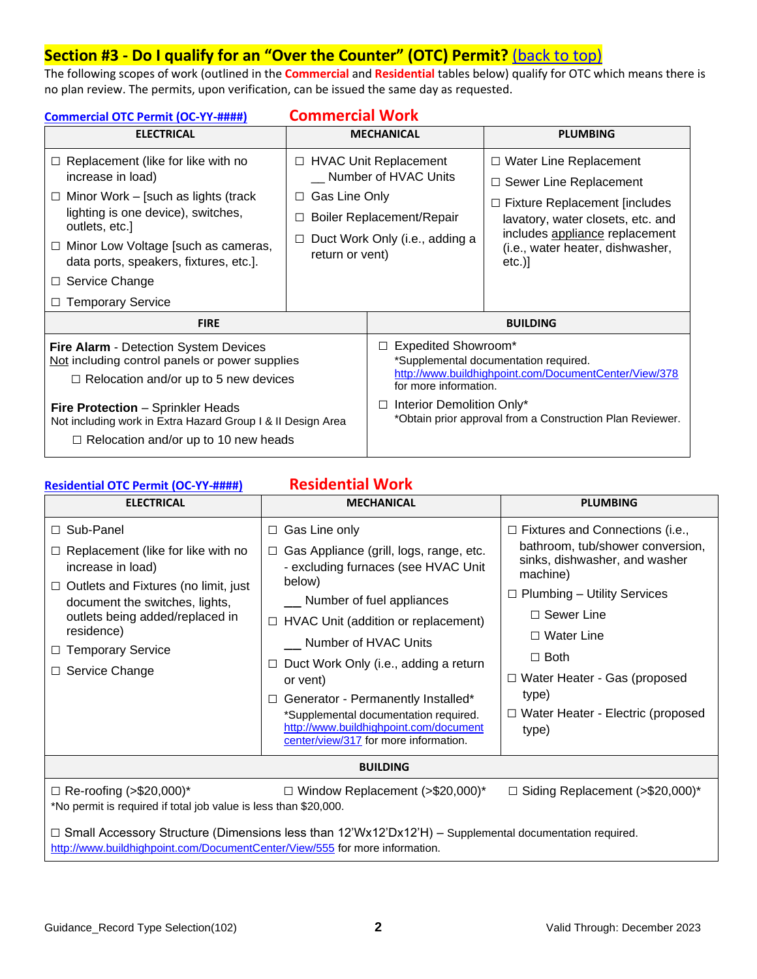## <span id="page-1-0"></span>**Section #3 - Do I qualify for an "Over the Counter" (OTC) Permit?** [\(back to top\)](#page-0-2)

The following scopes of work (outlined in the **Commercial** and **Residential** tables below) qualify for OTC which means there is no plan review. The permits, upon verification, can be issued the same day as requested.

| <b>Commercial Work</b><br>Commercial OTC Permit (OC-YY-####)                                                                                                                                                                                                                                                                  |                                                 |                                                                                                                                                                                                                                                                     |                                                                                                                                                                                                                           |
|-------------------------------------------------------------------------------------------------------------------------------------------------------------------------------------------------------------------------------------------------------------------------------------------------------------------------------|-------------------------------------------------|---------------------------------------------------------------------------------------------------------------------------------------------------------------------------------------------------------------------------------------------------------------------|---------------------------------------------------------------------------------------------------------------------------------------------------------------------------------------------------------------------------|
| <b>ELECTRICAL</b>                                                                                                                                                                                                                                                                                                             |                                                 | <b>MECHANICAL</b>                                                                                                                                                                                                                                                   | <b>PLUMBING</b>                                                                                                                                                                                                           |
| Replacement (like for like with no<br>$\Box$<br>increase in load)<br>Minor Work – [such as lights (track<br>$\Box$<br>lighting is one device), switches,<br>outlets, etc.]<br>Minor Low Voltage [such as cameras,<br>$\Box$<br>data ports, speakers, fixtures, etc.].<br>Service Change<br>$\Box$<br><b>Temporary Service</b> | Gas Line Only<br>$\Box$<br>□<br>return or vent) | □ HVAC Unit Replacement<br>Number of HVAC Units<br>Boiler Replacement/Repair<br>Duct Work Only (i.e., adding a                                                                                                                                                      | $\Box$ Water Line Replacement<br>$\Box$ Sewer Line Replacement<br>$\Box$ Fixture Replacement [includes<br>lavatory, water closets, etc. and<br>includes appliance replacement<br>(i.e., water heater, dishwasher,<br>etc. |
| <b>FIRE</b>                                                                                                                                                                                                                                                                                                                   |                                                 | <b>BUILDING</b>                                                                                                                                                                                                                                                     |                                                                                                                                                                                                                           |
| <b>Fire Alarm - Detection System Devices</b><br>Not including control panels or power supplies<br>$\Box$ Relocation and/or up to 5 new devices<br><b>Fire Protection - Sprinkler Heads</b><br>Not including work in Extra Hazard Group I & II Design Area<br>$\Box$ Relocation and/or up to 10 new heads                      |                                                 | <b>Expedited Showroom*</b><br>$\Box$<br>*Supplemental documentation required.<br>http://www.buildhighpoint.com/DocumentCenter/View/378<br>for more information.<br>Interior Demolition Only*<br>$\Box$<br>*Obtain prior approval from a Construction Plan Reviewer. |                                                                                                                                                                                                                           |

## **[Residential OTC Permit \(OC-YY-####\)](http://www.buildhighpoint.com/294/Residential) Residential Work**

| <b>ELECTRICAL</b>                                                                                                                                                                                                                                                               | <b>MECHANICAL</b>                                                                                                                                                                                                                                                                                                                                                                                                                                                              | <b>PLUMBING</b>                                                                                                                                                                                                                                                                                                             |  |  |
|---------------------------------------------------------------------------------------------------------------------------------------------------------------------------------------------------------------------------------------------------------------------------------|--------------------------------------------------------------------------------------------------------------------------------------------------------------------------------------------------------------------------------------------------------------------------------------------------------------------------------------------------------------------------------------------------------------------------------------------------------------------------------|-----------------------------------------------------------------------------------------------------------------------------------------------------------------------------------------------------------------------------------------------------------------------------------------------------------------------------|--|--|
| $\Box$ Sub-Panel<br>Replacement (like for like with no<br>increase in load)<br>$\Box$ Outlets and Fixtures (no limit, just<br>document the switches, lights,<br>outlets being added/replaced in<br>residence)<br><b>Temporary Service</b><br>$\Box$<br>Service Change<br>$\Box$ | Gas Line only<br>$\Box$<br>Gas Appliance (grill, logs, range, etc.<br>$\Box$<br>- excluding furnaces (see HVAC Unit<br>below)<br>Number of fuel appliances<br>HVAC Unit (addition or replacement)<br>$\Box$<br>Number of HVAC Units<br>Duct Work Only (i.e., adding a return<br>$\Box$<br>or vent)<br>Generator - Permanently Installed*<br>$\Box$<br>*Supplemental documentation required.<br>http://www.buildhighpoint.com/document<br>center/view/317 for more information. | $\Box$ Fixtures and Connections (i.e.,<br>bathroom, tub/shower conversion,<br>sinks, dishwasher, and washer<br>machine)<br><b>Plumbing - Utility Services</b><br>$\Box$ Sewer Line<br>$\Box$ Water Line<br>$\Box$ Both<br>$\Box$ Water Heater - Gas (proposed<br>type)<br>$\Box$ Water Heater - Electric (proposed<br>type) |  |  |
| <b>BUILDING</b>                                                                                                                                                                                                                                                                 |                                                                                                                                                                                                                                                                                                                                                                                                                                                                                |                                                                                                                                                                                                                                                                                                                             |  |  |
| $\Box$ Re-roofing (>\$20,000)*                                                                                                                                                                                                                                                  | $\Box$ Window Replacement (>\$20,000)*                                                                                                                                                                                                                                                                                                                                                                                                                                         | $\Box$ Siding Replacement (>\$20,000)*                                                                                                                                                                                                                                                                                      |  |  |
| *No permit is required if total job value is less than \$20,000.                                                                                                                                                                                                                |                                                                                                                                                                                                                                                                                                                                                                                                                                                                                |                                                                                                                                                                                                                                                                                                                             |  |  |

**□** Small Accessory Structure (Dimensions less than 12'Wx12'Dx12'H) – Supplemental documentation required. <http://www.buildhighpoint.com/DocumentCenter/View/555> for more information.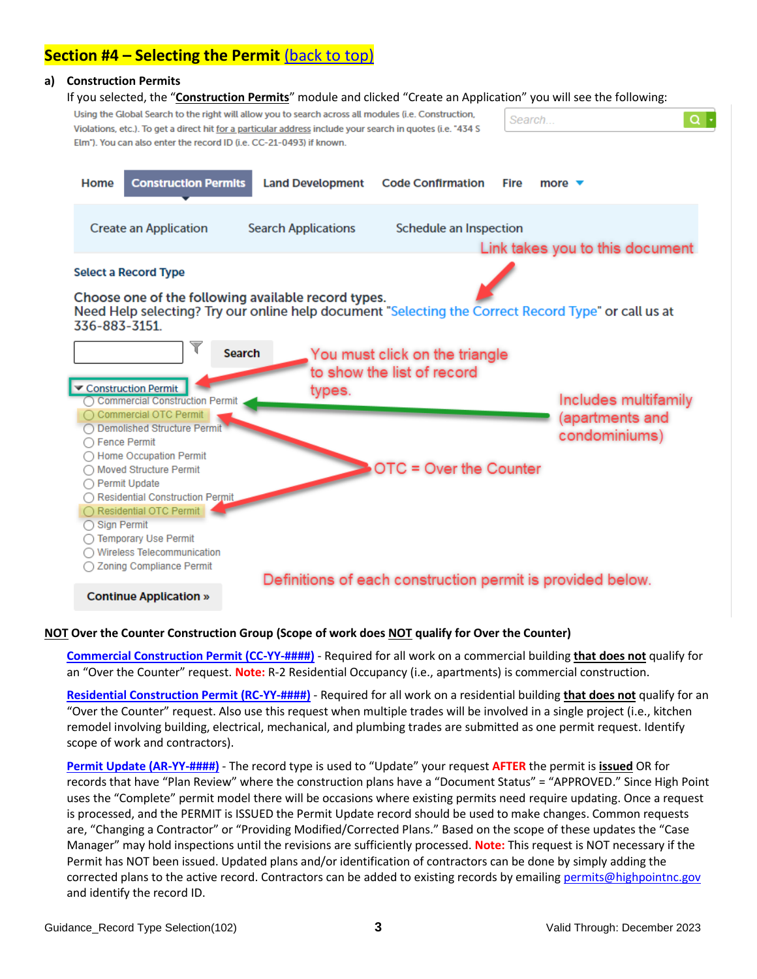## <span id="page-2-0"></span>**Section #4 – Selecting the Permit** [\(back to top\)](#page-0-2)

#### <span id="page-2-1"></span>**a) Construction Permits**

If you selected, the "**Construction Permits**" module and clicked "Create an Application" you will see the following:



#### **NOT Over the Counter Construction Group (Scope of work does NOT qualify for Over the Counter)**

**[Commercial Construction Permit \(CC-YY-####\)](http://www.buildhighpoint.com/191/Commercial-Construction)** - Required for all work on a commercial building **that does not** qualify for an "Over the Counter" request. **Note:** R-2 Residential Occupancy (i.e., apartments) is commercial construction.

**[Residential Construction Permit \(RC-YY-####\)](http://www.buildhighpoint.com/190/Residential-Construction)** - Required for all work on a residential building **that does not** qualify for an "Over the Counter" request. Also use this request when multiple trades will be involved in a single project (i.e., kitchen remodel involving building, electrical, mechanical, and plumbing trades are submitted as one permit request. Identify scope of work and contractors).

**[Permit Update \(AR-YY-####\)](http://www.buildhighpoint.com/201/Amend-Request)** - The record type is used to "Update" your request **AFTER** the permit is **issued** OR for records that have "Plan Review" where the construction plans have a "Document Status" = "APPROVED." Since High Point uses the "Complete" permit model there will be occasions where existing permits need require updating. Once a request is processed, and the PERMIT is ISSUED the Permit Update record should be used to make changes. Common requests are, "Changing a Contractor" or "Providing Modified/Corrected Plans." Based on the scope of these updates the "Case Manager" may hold inspections until the revisions are sufficiently processed. **Note:** This request is NOT necessary if the Permit has NOT been issued. Updated plans and/or identification of contractors can be done by simply adding the corrected plans to the active record. Contractors can be added to existing records by emailing [permits@highpointnc.gov](mailto:permits@highpointnc.gov) and identify the record ID.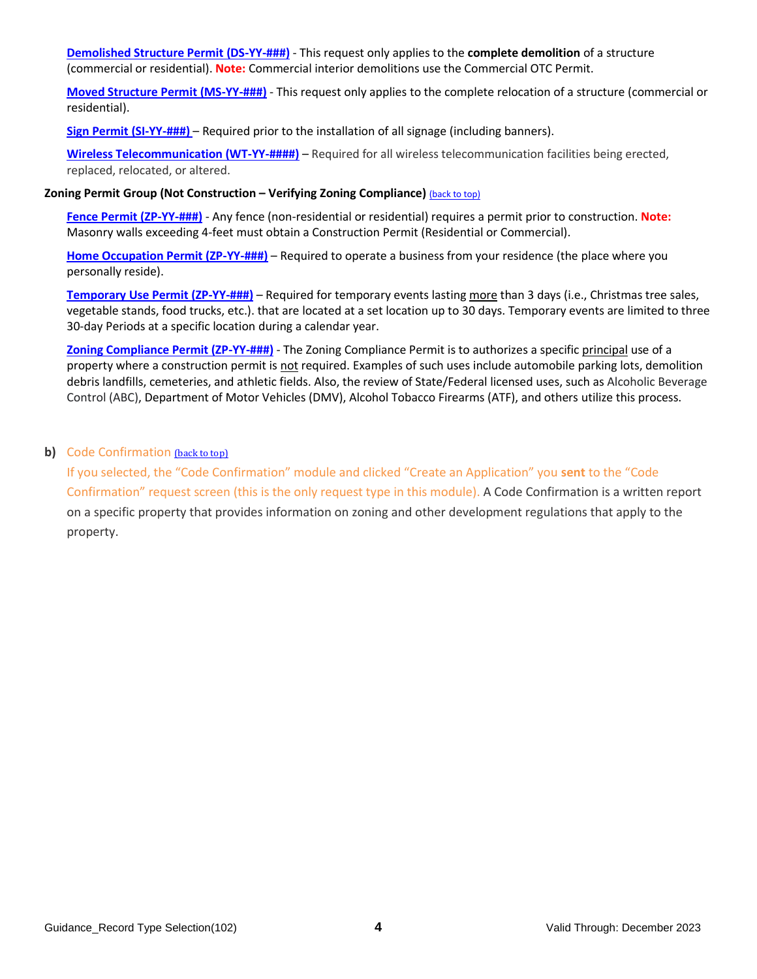**[Demolished Structure Permit](http://www.buildhighpoint.com/296/Demolished-Structure) (DS-YY-###)** - This request only applies to the **complete demolition** of a structure (commercial or residential). **Note:** Commercial interior demolitions use the Commercial OTC Permit.

**[Moved Structure Permit \(MS-YY-###\)](http://www.buildhighpoint.com/297/Moved-Structure)** - This request only applies to the complete relocation of a structure (commercial or residential).

**[Sign Permit](http://www.buildhighpoint.com/195/Sign) (SI-YY-###)** – Required prior to the installation of all signage (including banners).

**[Wireless Telecommunication \(WT-YY-####\)](http://www.buildhighpoint.com/344)** – Required for all wireless telecommunication facilities being erected, replaced, relocated, or altered.

#### **Zoning Permit Group (Not Construction – Verifying Zoning Compliance)** [\(back to top\)](#page-0-2)

**[Fence Permit \(ZP-YY-###\)](http://www.buildhighpoint.com/197/Fence)** - Any fence (non-residential or residential) requires a permit prior to construction. **Note:**  Masonry walls exceeding 4-feet must obtain a Construction Permit (Residential or Commercial).

**[Home Occupation Permit \(ZP-YY-###\)](http://www.buildhighpoint.com/198/Home-Occupation)** – Required to operate a business from your residence (the place where you personally reside).

**[Temporary Use](http://www.buildhighpoint.com/199/Temporary-Use) Permit (ZP-YY-###)** – Required for temporary events lasting more than 3 days (i.e., Christmas tree sales, vegetable stands, food trucks, etc.). that are located at a set location up to 30 days. Temporary events are limited to three 30-day Periods at a specific location during a calendar year.

**[Zoning Compliance Permit \(ZP-YY-###\)](http://www.buildhighpoint.com/200/Zoning-Compliance)** - The Zoning Compliance Permit is to authorizes a specific principal use of a property where a construction permit is not required. Examples of such uses include automobile parking lots, demolition debris landfills, cemeteries, and athletic fields. Also, the review of State/Federal licensed uses, such as Alcoholic Beverage Control (ABC), Department of Motor Vehicles (DMV), Alcohol Tobacco Firearms (ATF), and others utilize this process.

### <span id="page-3-0"></span>**b)** Code Confirmation [\(back to top\)](#page-0-2)

If you selected, the "Code Confirmation" module and clicked "Create an Application" you **sent** to the "Code Confirmation" request screen (this is the only request type in this module). A Code Confirmation is a written report on a specific property that provides information on zoning and other development regulations that apply to the property.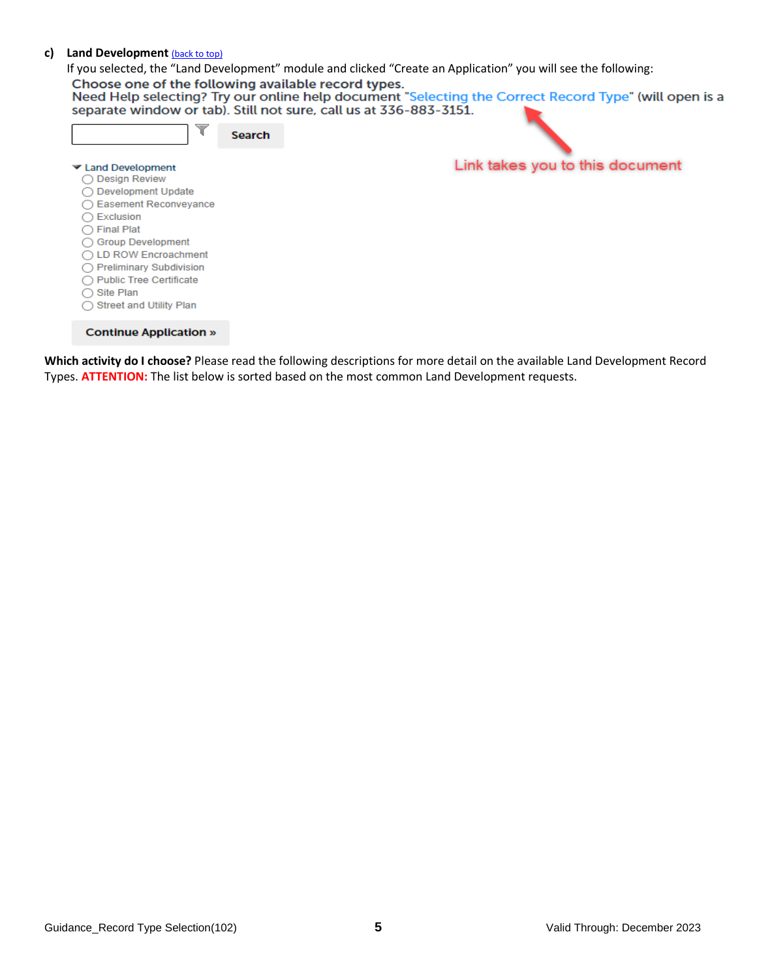#### <span id="page-4-0"></span>**c) Land Development** [\(back to top\)](#page-0-2)

If you selected, the "Land Development" module and clicked "Create an Application" you will see the following:<br>Choose one of the following available record types.<br>Need Help selecting? Try our online help document "Selectin

| V                                                                                                                                                                                                                                                                                                                    | <b>Search</b> |                                 |
|----------------------------------------------------------------------------------------------------------------------------------------------------------------------------------------------------------------------------------------------------------------------------------------------------------------------|---------------|---------------------------------|
| Land Development<br><b>Design Review</b><br><b>Development Update</b><br><b>Easement Reconveyance</b><br>Exclusion<br><b>Final Plat</b><br><b>Group Development</b><br><b>LD ROW Encroachment</b><br><b>Preliminary Subdivision</b><br><b>Public Tree Certificate</b><br>Site Plan<br><b>Street and Utility Plan</b> |               | Link takes you to this document |
| <b>Continue Application »</b>                                                                                                                                                                                                                                                                                        |               |                                 |

**Which activity do I choose?** Please read the following descriptions for more detail on the available Land Development Record Types. **ATTENTION:** The list below is sorted based on the most common Land Development requests.